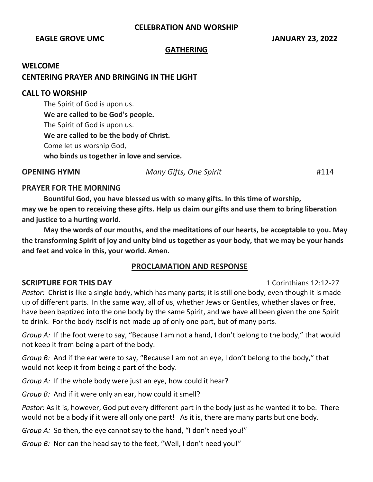### **CELEBRATION AND WORSHIP**

### **EAGLE GROVE UMC IMMOVE SERVICE SERVICE SERVICE SERVICE SERVICE SERVICE SERVICE SERVICE SERVICE SERVICE SERVICE SERVICE SERVICE SERVICE SERVICE SERVICE SERVICE SERVICE SERVICE SERVICE SERVICE SERVICE SERVICE SERVICE SERV**

### **GATHERING**

#### **WELCOME**

### **CENTERING PRAYER AND BRINGING IN THE LIGHT**

#### **CALL TO WORSHIP**

The Spirit of God is upon us. **We are called to be God's people.** The Spirit of God is upon us. **We are called to be the body of Christ.** Come let us worship God, **who binds us together in love and service.**

**OPENING HYMN** *Many Gifts, One Spirit* #114

## **PRAYER FOR THE MORNING**

**Bountiful God, you have blessed us with so many gifts. In this time of worship, may we be open to receiving these gifts. Help us claim our gifts and use them to bring liberation and justice to a hurting world.** 

**May the words of our mouths, and the meditations of our hearts, be acceptable to you. May the transforming Spirit of joy and unity bind us together as your body, that we may be your hands and feet and voice in this, your world. Amen.**

### **PROCLAMATION AND RESPONSE**

### **SCRIPTURE FOR THIS DAY** 1 Corinthians 12:12-27

*Pastor:* Christ is like a single body, which has many parts; it is still one body, even though it is made up of different parts. In the same way, all of us, whether Jews or Gentiles, whether slaves or free, have been baptized into the one body by the same Spirit, and we have all been given the one Spirit to drink. For the body itself is not made up of only one part, but of many parts.

*Group A:* If the foot were to say, "Because I am not a hand, I don't belong to the body," that would not keep it from being a part of the body.

*Group B:* And if the ear were to say, "Because I am not an eye, I don't belong to the body," that would not keep it from being a part of the body.

*Group A:* If the whole body were just an eye, how could it hear?

*Group B:* And if it were only an ear, how could it smell?

*Pastor:* As it is, however, God put every different part in the body just as he wanted it to be. There would not be a body if it were all only one part! As it is, there are many parts but one body.

*Group A:* So then, the eye cannot say to the hand, "I don't need you!"

*Group B:* Nor can the head say to the feet, "Well, I don't need you!"